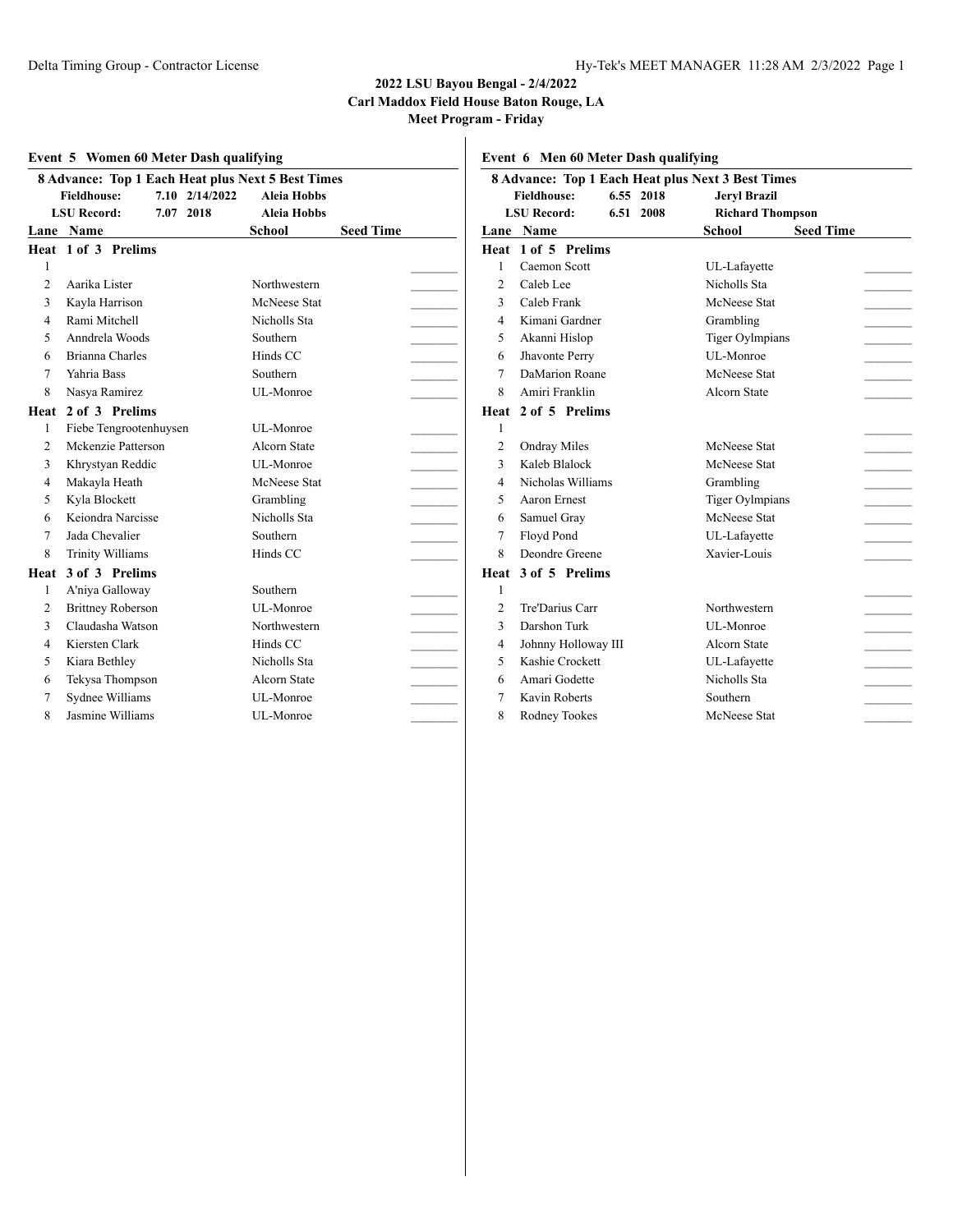#### **2022 LSU Bayou Bengal - 2/4/2022 Carl Maddox Field House Baton Rouge, LA**

**Meet Program - Friday**

| Event 5 Women 60 Meter Dash qualifying |                                                                                                                              |  |                                          |               |                  |  | Event 6 M                              |              |
|----------------------------------------|------------------------------------------------------------------------------------------------------------------------------|--|------------------------------------------|---------------|------------------|--|----------------------------------------|--------------|
|                                        | 8 Advance: Top 1 Each Heat plus Next 5 Best Times<br>7.10 2/14/2022<br><b>Fieldhouse:</b><br>7.07 2018<br><b>LSU Record:</b> |  | <b>Aleia Hobbs</b><br><b>Aleia Hobbs</b> |               |                  |  | 8 Advance<br>Fieldho<br><b>LSU</b> Rec |              |
| Lane                                   | Name                                                                                                                         |  |                                          | <b>School</b> | <b>Seed Time</b> |  | Lane                                   | Nam          |
|                                        | Heat 1 of 3 Prelims                                                                                                          |  |                                          |               |                  |  |                                        | Heat 1 of :  |
| 1                                      |                                                                                                                              |  |                                          |               |                  |  | 1                                      | Caem         |
| $\overline{2}$                         | Aarika Lister                                                                                                                |  |                                          | Northwestern  |                  |  | 2                                      | Caleb        |
| 3                                      | Kayla Harrison                                                                                                               |  |                                          | McNeese Stat  |                  |  | 3                                      | Caleb        |
| $\overline{4}$                         | Rami Mitchell                                                                                                                |  |                                          | Nicholls Sta  |                  |  | $\overline{4}$                         | Kimar        |
| 5                                      | Anndrela Woods                                                                                                               |  |                                          | Southern      |                  |  | 5                                      | Akanr        |
| 6                                      | Brianna Charles                                                                                                              |  |                                          | Hinds CC      |                  |  | 6                                      | <b>Jhavo</b> |
| $\tau$                                 | Yahria Bass                                                                                                                  |  |                                          | Southern      |                  |  | $\tau$                                 | DaMa         |
| 8                                      | Nasya Ramirez                                                                                                                |  |                                          | UL-Monroe     |                  |  | 8                                      | Amiri        |
| Heat                                   | 2 of 3 Prelims                                                                                                               |  |                                          |               |                  |  | Heat                                   | $2$ of :     |
| 1                                      | Fiebe Tengrootenhuysen                                                                                                       |  |                                          | UL-Monroe     |                  |  | $\mathbf{1}$                           |              |
| $\overline{2}$                         | Mckenzie Patterson                                                                                                           |  |                                          | Alcorn State  |                  |  | $\overline{c}$                         | Ondra        |
| 3                                      | Khrystyan Reddic                                                                                                             |  |                                          | UL-Monroe     |                  |  | 3                                      | Kaleb        |
| $\overline{4}$                         | Makayla Heath                                                                                                                |  |                                          | McNeese Stat  |                  |  | $\overline{4}$                         | Nicho        |
| 5                                      | Kyla Blockett                                                                                                                |  |                                          | Grambling     |                  |  | 5                                      | Aaron        |
| 6                                      | Keiondra Narcisse                                                                                                            |  |                                          | Nicholls Sta  |                  |  | 6                                      | Samu         |
| 7                                      | Jada Chevalier                                                                                                               |  |                                          | Southern      |                  |  | $\overline{7}$                         | Floyd        |
| 8                                      | <b>Trinity Williams</b>                                                                                                      |  |                                          | Hinds CC      |                  |  | 8                                      | Deono        |
| Heat                                   | 3 of 3 Prelims                                                                                                               |  |                                          |               |                  |  | Heat                                   | $3$ of :     |
| 1                                      | A'niya Galloway                                                                                                              |  |                                          | Southern      |                  |  | 1                                      |              |
| $\overline{2}$                         | <b>Brittney Roberson</b>                                                                                                     |  |                                          | UL-Monroe     |                  |  | $\overline{c}$                         | Tre'Da       |
| 3                                      | Claudasha Watson                                                                                                             |  |                                          | Northwestern  |                  |  | 3                                      | Darsh        |
| $\overline{4}$                         | Kiersten Clark                                                                                                               |  |                                          | Hinds CC      |                  |  | $\overline{4}$                         | Johnn        |
| 5                                      | Kiara Bethley                                                                                                                |  |                                          | Nicholls Sta  |                  |  | 5                                      | Kashi        |
| 6                                      | Tekysa Thompson                                                                                                              |  |                                          | Alcorn State  |                  |  | 6                                      | Amari        |
| 7                                      | Sydnee Williams                                                                                                              |  |                                          | UL-Monroe     |                  |  | $\overline{7}$                         | Kavin        |
| 8                                      | Jasmine Williams                                                                                                             |  |                                          | UL-Monroe     |                  |  | 8                                      | Rodne        |

**Event 6 Men 60 Meter Dash qualifying**

|                | <b>8 Advance: Top 1 Each Heat plus Next 3 Best Times</b> |           |                         |                  |  |  |
|----------------|----------------------------------------------------------|-----------|-------------------------|------------------|--|--|
|                | <b>Fieldhouse:</b>                                       | 6.55 2018 | <b>Jeryl Brazil</b>     |                  |  |  |
|                | <b>LSU</b> Record:                                       | 6.51 2008 | <b>Richard Thompson</b> |                  |  |  |
|                | Lane Name                                                |           | School                  | <b>Seed Time</b> |  |  |
|                | Heat 1 of 5 Prelims                                      |           |                         |                  |  |  |
| 1              | Caemon Scott                                             |           | UL-Lafayette            |                  |  |  |
| 2              | Caleb Lee                                                |           | Nicholls Sta            |                  |  |  |
| 3              | Caleb Frank                                              |           | McNeese Stat            |                  |  |  |
| 4              | Kimani Gardner                                           |           | Grambling               |                  |  |  |
| 5              | Akanni Hislop                                            |           | <b>Tiger Oylmpians</b>  |                  |  |  |
| 6              | Jhavonte Perry                                           |           | UL-Monroe               |                  |  |  |
| 7              | DaMarion Roane                                           |           | McNeese Stat            |                  |  |  |
| 8              | Amiri Franklin                                           |           | Alcorn State            |                  |  |  |
|                | Heat 2 of 5 Prelims                                      |           |                         |                  |  |  |
| 1              |                                                          |           |                         |                  |  |  |
| $\overline{c}$ | <b>Ondray Miles</b>                                      |           | McNeese Stat            |                  |  |  |
| 3              | Kaleb Blalock                                            |           | McNeese Stat            |                  |  |  |
| 4              | Nicholas Williams                                        |           | Grambling               |                  |  |  |
| 5              | Aaron Ernest                                             |           | <b>Tiger Oylmpians</b>  |                  |  |  |
| 6              | Samuel Gray                                              |           | McNeese Stat            |                  |  |  |
| 7              | Floyd Pond                                               |           | UL-Lafayette            |                  |  |  |
| 8              | Deondre Greene                                           |           | Xavier-Louis            |                  |  |  |
|                | Heat 3 of 5 Prelims                                      |           |                         |                  |  |  |
| $\mathbf{1}$   |                                                          |           |                         |                  |  |  |
| $\overline{2}$ | Tre'Darius Carr                                          |           | Northwestern            |                  |  |  |
| 3              | Darshon Turk                                             |           | UL-Monroe               |                  |  |  |
| $\overline{4}$ | Johnny Holloway III                                      |           | Alcorn State            |                  |  |  |
| 5              | Kashie Crockett                                          |           | UL-Lafavette            |                  |  |  |
| 6              | Amari Godette                                            |           | Nicholls Sta            |                  |  |  |
| 7              | Kavin Roberts                                            |           | Southern                |                  |  |  |
| 8              | Rodney Tookes                                            |           | McNeese Stat            |                  |  |  |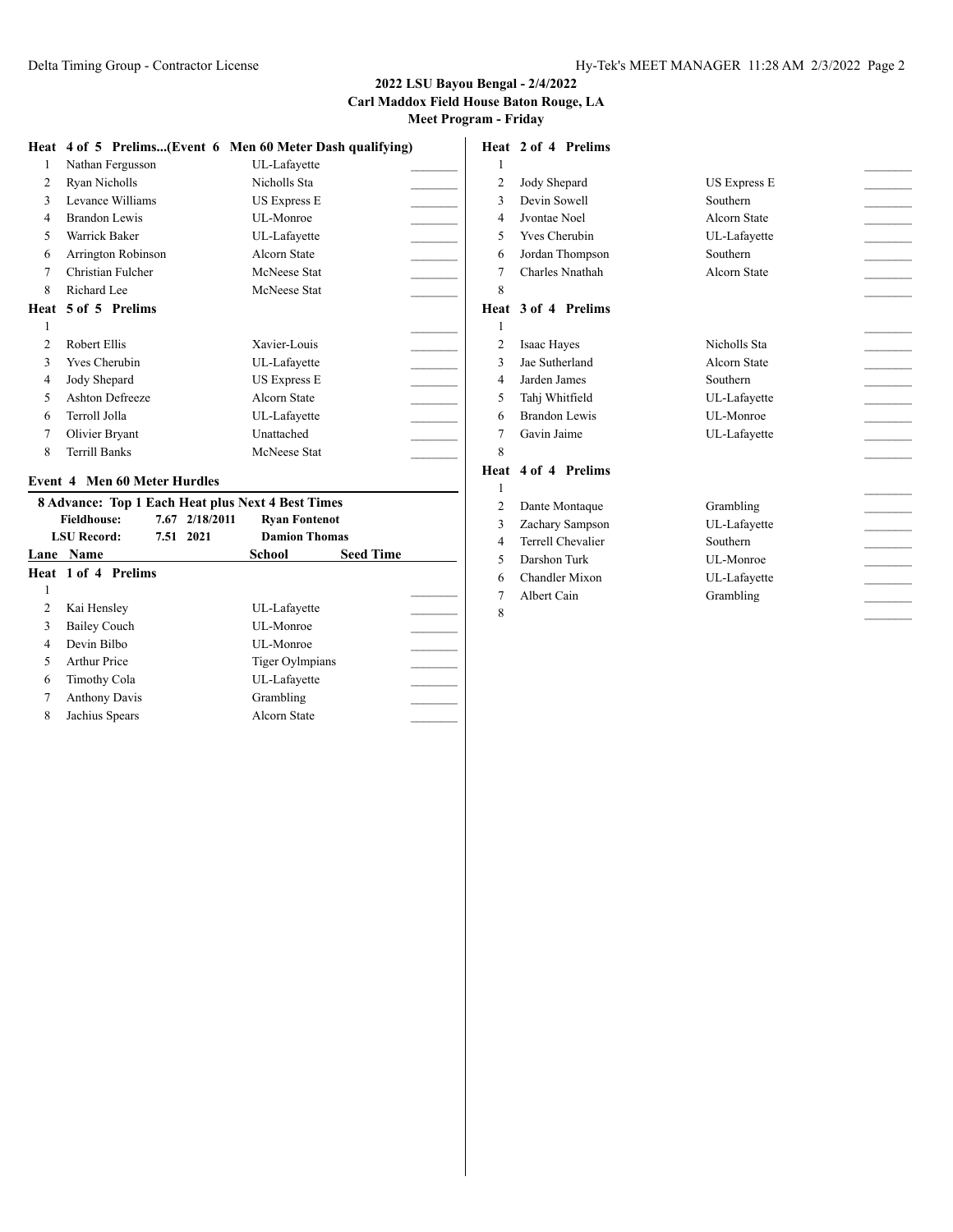|    |                        | Heat 4 of 5 Prelims(Event 6 Men 60 Meter Dash qualifying) |  |
|----|------------------------|-----------------------------------------------------------|--|
| 1  | Nathan Fergusson       | UL-Lafayette                                              |  |
| 2  | Ryan Nicholls          | Nicholls Sta                                              |  |
| 3  | Levance Williams       | <b>US Express E</b>                                       |  |
| 4  | Brandon Lewis          | UL-Monroe                                                 |  |
| 5. | Warrick Baker          | UL-Lafayette                                              |  |
| 6  | Arrington Robinson     | Alcorn State                                              |  |
| 7  | Christian Fulcher      | McNeese Stat                                              |  |
| 8  | Richard Lee            | McNeese Stat                                              |  |
|    | Heat 5 of 5 Prelims    |                                                           |  |
| 1  |                        |                                                           |  |
| 2  | Robert Ellis           | Xavier-Louis                                              |  |
| 3  | <b>Yves Cherubin</b>   | UL-Lafayette                                              |  |
| 4  | Jody Shepard           | <b>US Express E</b>                                       |  |
| 5  | <b>Ashton Defreeze</b> | Alcorn State                                              |  |
| 6  | Terroll Jolla          | UL-Lafayette                                              |  |
| 7  | Olivier Bryant         | Unattached                                                |  |
| 8  | Terrill Banks          | McNeese Stat                                              |  |

#### **Event 4 Men 60 Meter Hurdles**

|               | <b>8 Advance: Top 1 Each Heat plus Next 4 Best Times</b> |                |                        |                  |  |  |
|---------------|----------------------------------------------------------|----------------|------------------------|------------------|--|--|
|               | <b>Fieldhouse:</b>                                       | 7.67 2/18/2011 | <b>Ryan Fontenot</b>   |                  |  |  |
|               | <b>LSU Record:</b><br>7.51 2021                          |                | <b>Damion Thomas</b>   |                  |  |  |
|               | <b>Lane Name</b>                                         |                | School                 | <b>Seed Time</b> |  |  |
|               | <b>Heat 1 of 4 Prelims</b>                               |                |                        |                  |  |  |
| 1             |                                                          |                |                        |                  |  |  |
| $\mathcal{L}$ | Kai Hensley                                              |                | UL-Lafayette           |                  |  |  |
| 3             | <b>Bailey Couch</b>                                      |                | <b>UL-Monroe</b>       |                  |  |  |
| 4             | Devin Bilbo                                              |                | <b>UL-Monroe</b>       |                  |  |  |
| 5             | <b>Arthur Price</b>                                      |                | <b>Tiger Oylmpians</b> |                  |  |  |
| 6             | Timothy Cola                                             |                | UL-Lafayette           |                  |  |  |
| 7             | <b>Anthony Davis</b>                                     |                | Grambling              |                  |  |  |
| 8             | Jachius Spears                                           |                | Alcorn State           |                  |  |  |

### **Heat 2 of 4 Prelims**

| 1              |                      |                     |  |
|----------------|----------------------|---------------------|--|
| $\overline{2}$ | Jody Shepard         | <b>US Express E</b> |  |
| 3              | Devin Sowell         | Southern            |  |
| 4              | Jvontae Noel         | Alcorn State        |  |
| 5              | <b>Yves Cherubin</b> | UL-Lafayette        |  |
| 6              | Jordan Thompson      | Southern            |  |
| 7              | Charles Nnathah      | Alcorn State        |  |
| 8              |                      |                     |  |
|                | Heat 3 of 4 Prelims  |                     |  |
| 1              |                      |                     |  |
| 2              | Isaac Hayes          | Nicholls Sta        |  |
| 3              | Jae Sutherland       | Alcorn State        |  |
| 4              | Jarden James         | Southern            |  |
| 5              | Tahj Whitfield       | UL-Lafayette        |  |
| 6              | Brandon Lewis        | UL-Monroe           |  |
| 7              | Gavin Jaime          | UL-Lafayette        |  |
| 8              |                      |                     |  |
| Heat           | 4 of 4 Prelims       |                     |  |
| 1              |                      |                     |  |
| $\overline{2}$ | Dante Montaque       | Grambling           |  |
| 3              | Zachary Sampson      | UL-Lafayette        |  |
| 4              | Terrell Chevalier    | Southern            |  |
| 5              | Darshon Turk         | UL-Monroe           |  |
| 6              | Chandler Mixon       | UL-Lafayette        |  |

- 7 Albert Cain Grambling
-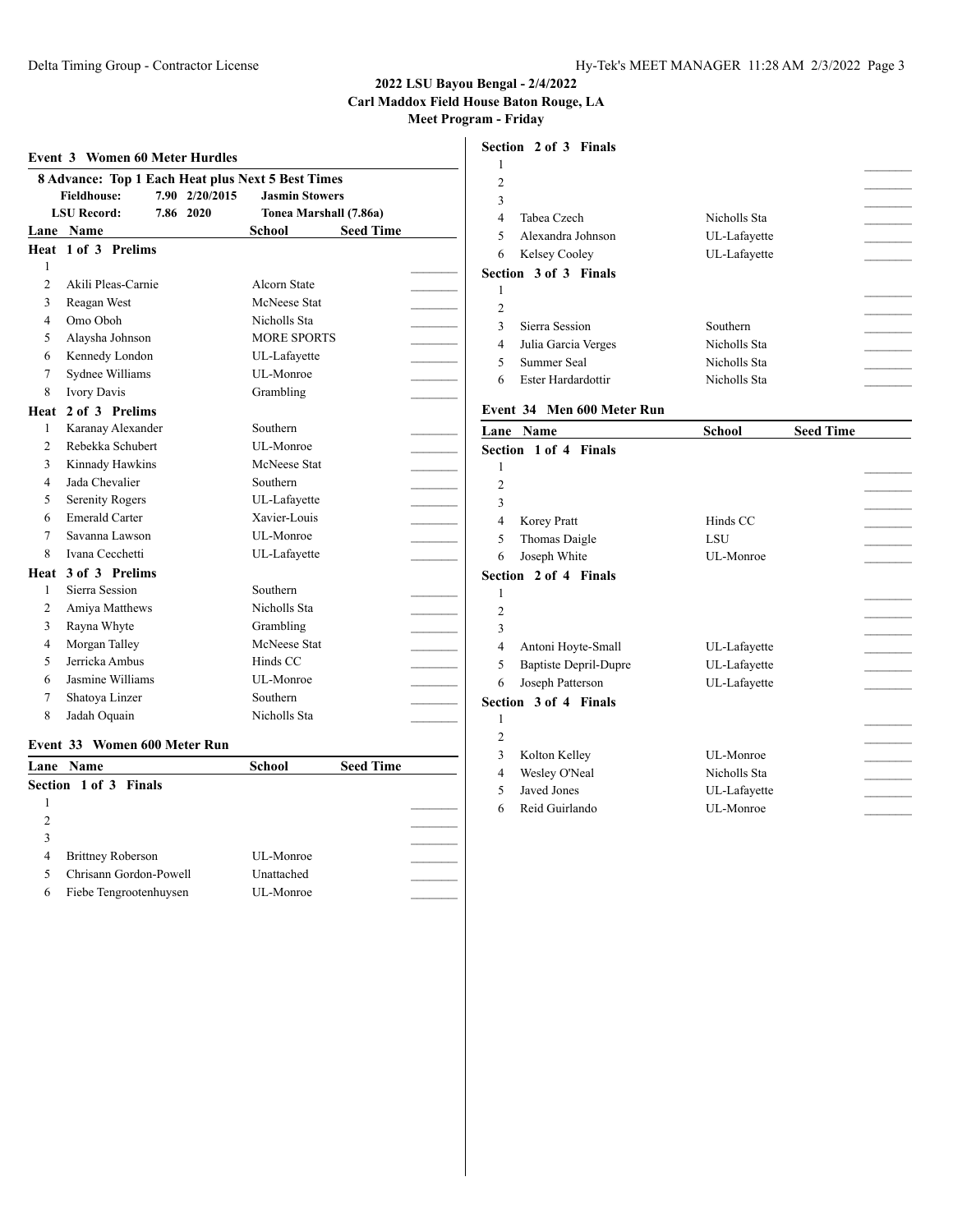# **Event 3 Women 60 Meter Hurdles**

|                |                        |                | 8 Advance: Top 1 Each Heat plus Next 5 Best Times |                  |  |
|----------------|------------------------|----------------|---------------------------------------------------|------------------|--|
|                | <b>Fieldhouse:</b>     | 7.90 2/20/2015 | <b>Jasmin Stowers</b>                             |                  |  |
|                | <b>LSU Record:</b>     | 7.86 2020      | Tonea Marshall (7.86a)                            |                  |  |
|                | Lane Name              |                | <b>School</b>                                     | <b>Seed Time</b> |  |
|                | Heat 1 of 3 Prelims    |                |                                                   |                  |  |
| 1              |                        |                |                                                   |                  |  |
| $\overline{c}$ | Akili Pleas-Carnie     |                | Alcorn State                                      |                  |  |
| 3              | Reagan West            |                | McNeese Stat                                      |                  |  |
| $\overline{4}$ | Omo Oboh               |                | Nicholls Sta                                      |                  |  |
| 5              | Alaysha Johnson        |                | <b>MORE SPORTS</b>                                |                  |  |
| 6              | Kennedy London         |                | UL-Lafayette                                      |                  |  |
| 7              | Sydnee Williams        |                | UL-Monroe                                         |                  |  |
| 8              | <b>Ivory Davis</b>     |                | Grambling                                         |                  |  |
| Heat           | 2 of 3 Prelims         |                |                                                   |                  |  |
| 1              | Karanay Alexander      |                | Southern                                          |                  |  |
| $\overline{c}$ | Rebekka Schubert       |                | UL-Monroe                                         |                  |  |
| 3              | Kinnady Hawkins        |                | McNeese Stat                                      |                  |  |
| 4              | Jada Chevalier         |                | Southern                                          |                  |  |
| 5              | <b>Serenity Rogers</b> |                | UL-Lafayette                                      |                  |  |
| 6              | <b>Emerald Carter</b>  |                | Xavier-Louis                                      |                  |  |
| $\tau$         | Savanna Lawson         |                | UL-Monroe                                         |                  |  |
| 8              | Ivana Cecchetti        |                | UL-Lafayette                                      |                  |  |
| Heat           | 3 of 3 Prelims         |                |                                                   |                  |  |
| 1              | Sierra Session         |                | Southern                                          |                  |  |
| 2              | Amiya Matthews         |                | Nicholls Sta                                      |                  |  |
| 3              | Rayna Whyte            |                | Grambling                                         |                  |  |
| $\overline{4}$ | Morgan Talley          |                | McNeese Stat                                      |                  |  |
| 5              | Jerricka Ambus         |                | Hinds CC                                          |                  |  |
| 6              | Jasmine Williams       |                | UL-Monroe                                         |                  |  |
| 7              | Shatoya Linzer         |                | Southern                                          |                  |  |
| 8              | Jadah Oquain           |                | Nicholls Sta                                      |                  |  |

#### **Event 33 Women 600 Meter Run**

| <b>Lane</b> Name              | <b>School</b> | <b>Seed Time</b> |  |
|-------------------------------|---------------|------------------|--|
| Section 1 of 3 Finals         |               |                  |  |
|                               |               |                  |  |
| $\mathcal{L}$                 |               |                  |  |
|                               |               |                  |  |
| <b>Brittney Roberson</b><br>4 | UL-Monroe     |                  |  |
| Chrisann Gordon-Powell        | Unattached    |                  |  |
| Fiebe Tengrootenhuysen<br>6   | UL-Monroe     |                  |  |
|                               |               |                  |  |

#### **Section 2 of 3 Finals**

| $\overline{c}$ |                              |              |  |
|----------------|------------------------------|--------------|--|
| 3              |                              |              |  |
| 4              | Tabea Czech                  | Nicholls Sta |  |
| 5              | Alexandra Johnson            | UL-Lafayette |  |
| 6              | Kelsey Cooley                | UL-Lafayette |  |
|                | <b>Section 3 of 3 Finals</b> |              |  |
|                |                              |              |  |
| $\overline{2}$ |                              |              |  |
| $\mathbf{3}$   | Sierra Session               | Southern     |  |
| 4              | Julia Garcia Verges          | Nicholls Sta |  |
| 5              | Summer Seal                  | Nicholls Sta |  |
| 6              | Ester Hardardottir           | Nicholls Sta |  |
|                |                              |              |  |

### **Event 34 Men 600 Meter Run**

|                | <b>Lane Name</b>             | <b>School</b> | <b>Seed Time</b> |  |
|----------------|------------------------------|---------------|------------------|--|
|                | Section 1 of 4 Finals        |               |                  |  |
| 1              |                              |               |                  |  |
| $\overline{2}$ |                              |               |                  |  |
| 3              |                              |               |                  |  |
| 4              | Korey Pratt                  | Hinds CC      |                  |  |
| 5              | Thomas Daigle                | LSU           |                  |  |
| 6              | Joseph White                 | UL-Monroe     |                  |  |
|                | <b>Section 2 of 4 Finals</b> |               |                  |  |
| 1              |                              |               |                  |  |
| $\overline{2}$ |                              |               |                  |  |
| 3              |                              |               |                  |  |
| 4              | Antoni Hoyte-Small           | UL-Lafayette  |                  |  |
| 5              | <b>Baptiste Depril-Dupre</b> | UL-Lafayette  |                  |  |
| 6              | Joseph Patterson             | UL-Lafayette  |                  |  |
|                | <b>Section 3 of 4 Finals</b> |               |                  |  |
| 1              |                              |               |                  |  |
| $\overline{2}$ |                              |               |                  |  |
| 3              | Kolton Kelley                | UL-Monroe     |                  |  |
| 4              | Wesley O'Neal                | Nicholls Sta  |                  |  |
| 5              | Javed Jones                  | UL-Lafayette  |                  |  |
| 6              | Reid Guirlando               | UL-Monroe     |                  |  |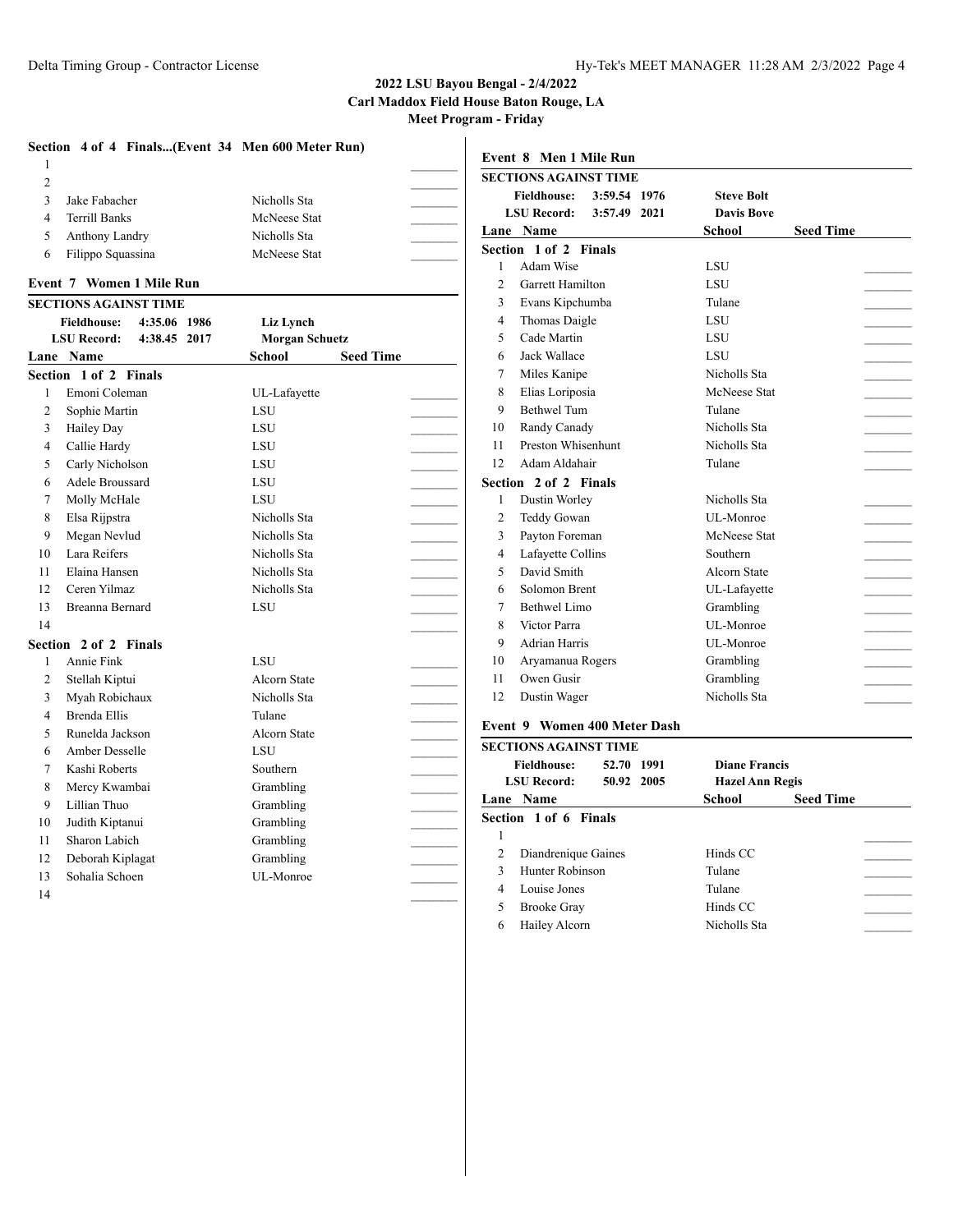#### **2022 LSU Bayou Bengal - 2/4/2022**

**Carl Maddox Field House Baton Rouge, LA**

**Meet Program - Friday**

 $\overline{1}$ 

| Section 4 of 4 Finals(Event 34 Men 600 Meter Run) |                                   | Event 8 Men 1 Mile Run                    |                                   |
|---------------------------------------------------|-----------------------------------|-------------------------------------------|-----------------------------------|
| -1                                                |                                   | <b>SECTIONS AGAINST TIME</b>              |                                   |
| 2                                                 |                                   | <b>Fieldhouse:</b><br>3:59.54 1976        | <b>Steve Bolt</b>                 |
| 3<br>Jake Fabacher                                | Nicholls Sta                      | <b>LSU Record:</b><br>3:57.49 2021        | <b>Davis Bove</b>                 |
| $\overline{4}$<br><b>Terrill Banks</b>            | McNeese Stat                      | Lane Name                                 | <b>Seed Time</b><br><b>School</b> |
| Anthony Landry<br>5                               | Nicholls Sta                      | Section 1 of 2 Finals                     |                                   |
| Filippo Squassina<br>6                            | McNeese Stat                      | Adam Wise<br>$\mathbf{1}$                 | LSU                               |
| <b>Event 7 Women 1 Mile Run</b>                   |                                   | $\overline{2}$<br><b>Garrett Hamilton</b> | LSU                               |
| <b>SECTIONS AGAINST TIME</b>                      |                                   | 3<br>Evans Kipchumba                      | Tulane                            |
| 4:35.06 1986<br><b>Fieldhouse:</b>                | Liz Lynch                         | Thomas Daigle<br>$\overline{4}$           | LSU                               |
| 4:38.45 2017<br><b>LSU Record:</b>                | <b>Morgan Schuetz</b>             | 5<br>Cade Martin                          | LSU                               |
| Lane Name                                         | <b>Seed Time</b><br><b>School</b> | Jack Wallace<br>6                         | LSU                               |
| Section 1 of 2 Finals                             |                                   | $\overline{7}$<br>Miles Kanipe            | Nicholls Sta                      |
| Emoni Coleman<br>1                                | UL-Lafayette                      | 8<br>Elias Loriposia                      | McNeese Stat                      |
| $\overline{c}$<br>Sophie Martin                   | <b>LSU</b>                        | 9<br><b>Bethwel Tum</b>                   | Tulane                            |
| 3<br><b>Hailey Day</b>                            | LSU                               | Randy Canady<br>10                        | Nicholls Sta                      |
| Callie Hardy<br>$\overline{4}$                    | <b>LSU</b>                        | Preston Whisenhunt<br>11                  | Nicholls Sta                      |
| Carly Nicholson<br>5                              | LSU                               | 12<br>Adam Aldahair                       | Tulane                            |
| Adele Broussard<br>6                              | <b>LSU</b>                        | Section 2 of 2 Finals                     |                                   |
| $\overline{7}$<br>Molly McHale                    | LSU                               | Dustin Worley<br>-1                       | Nicholls Sta                      |
| 8<br>Elsa Rijpstra                                | Nicholls Sta                      | $\overline{2}$<br>Teddy Gowan             | UL-Monroe                         |
| 9<br>Megan Nevlud                                 | Nicholls Sta                      | 3<br>Payton Foreman                       | McNeese Stat                      |
| Lara Reifers<br>10                                | Nicholls Sta                      | Lafayette Collins<br>$\overline{4}$       | Southern                          |
| Elaina Hansen<br>11                               | Nicholls Sta                      | 5<br>David Smith                          | <b>Alcorn State</b>               |
| Ceren Yilmaz<br>12                                | Nicholls Sta                      | Solomon Brent<br>6                        | UL-Lafayette                      |
| 13<br>Breanna Bernard                             | LSU                               | $\overline{7}$<br><b>Bethwel Limo</b>     | Grambling                         |
| 14                                                |                                   | 8<br>Victor Parra                         | UL-Monroe                         |
| Section 2 of 2 Finals                             |                                   | 9<br><b>Adrian Harris</b>                 | UL-Monroe                         |
| Annie Fink<br>1                                   | LSU                               | Aryamanua Rogers<br>10                    | Grambling                         |
| $\overline{2}$<br>Stellah Kiptui                  | <b>Alcorn State</b>               | Owen Gusir<br>11                          | Grambling                         |
| 3<br>Myah Robichaux                               | Nicholls Sta                      | 12<br>Dustin Wager                        | Nicholls Sta                      |
| Brenda Ellis<br>$\overline{4}$                    | Tulane                            |                                           |                                   |
| 5<br>Runelda Jackson                              | Alcorn State                      | Event 9 Women 400 Meter Dash              |                                   |
| Amber Desselle<br>6                               | <b>LSU</b>                        | <b>SECTIONS AGAINST TIME</b>              |                                   |
| Kashi Roberts<br>$\overline{7}$                   | Southern                          | <b>Fieldhouse:</b><br>52.70 1991          | <b>Diane Francis</b>              |
| 8<br>Mercy Kwambai                                | Grambling                         | <b>LSU Record:</b><br>50.92 2005          | <b>Hazel Ann Regis</b>            |
| 9<br>Lillian Thuo                                 | Grambling                         | Lane Name                                 | <b>Seed Time</b><br><b>School</b> |
| Judith Kiptanui<br>10                             | Grambling                         | Section 1 of 6 Finals                     |                                   |
| Sharon Labich<br>11                               | Grambling                         | $\mathbf{1}$                              |                                   |
| Deborah Kiplagat<br>12                            | Grambling                         | $\overline{2}$<br>Diandrenique Gaines     | Hinds CC                          |
| 13<br>Sohalia Schoen                              | UL-Monroe                         | Hunter Robinson<br>3                      | Tulane                            |
| 14                                                |                                   | $\overline{4}$<br>Louise Jones            | Tulane                            |
|                                                   |                                   | 5<br><b>Brooke Gray</b>                   | Hinds CC                          |
|                                                   |                                   | 6<br>Hailey Alcorn                        | Nicholls Sta                      |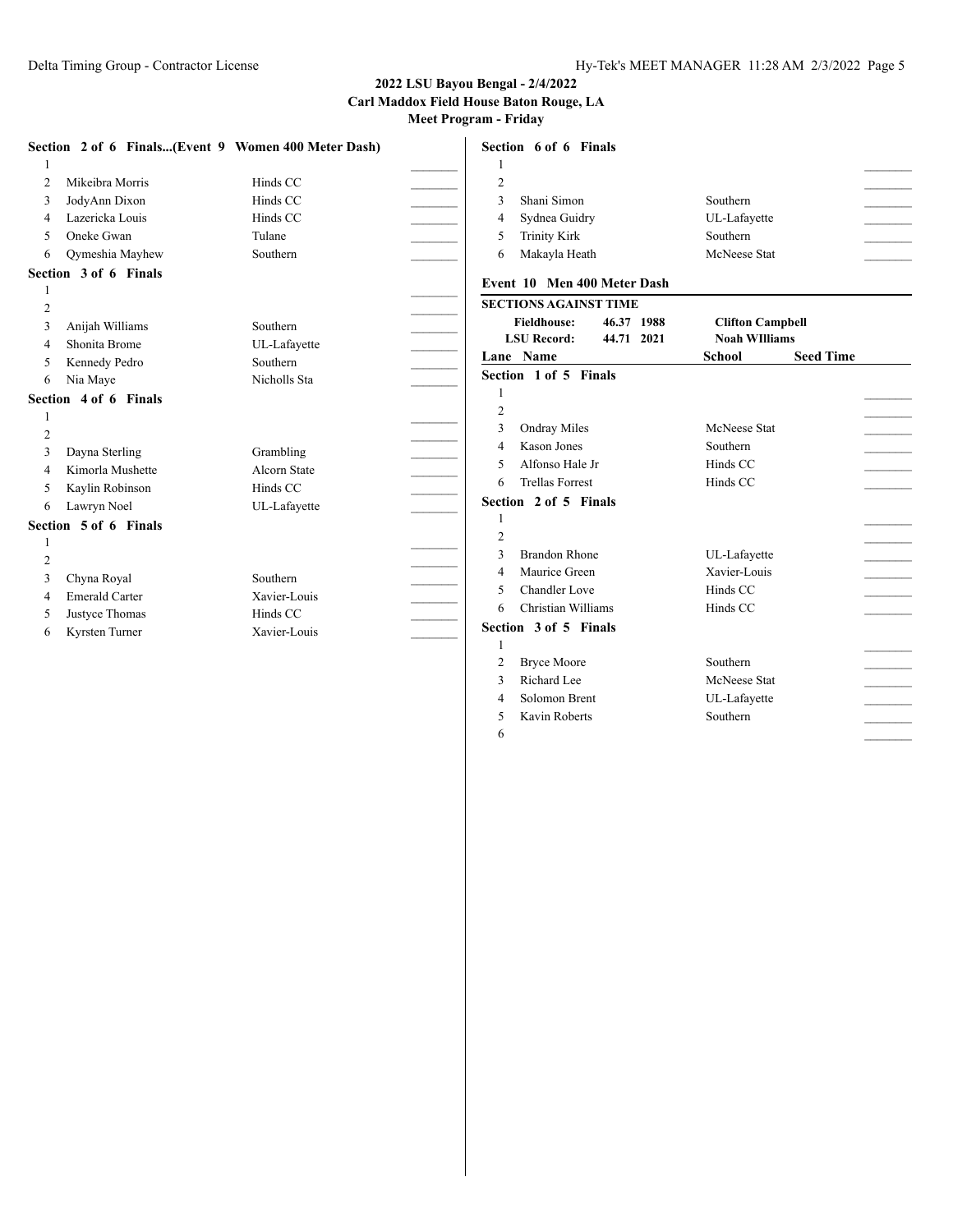|                |                       | Section 2 of 6 Finals(Event 9 Women 400 Meter Dash) | Section 6 of 6 Finals                            |                                   |                |
|----------------|-----------------------|-----------------------------------------------------|--------------------------------------------------|-----------------------------------|----------------|
|                |                       |                                                     |                                                  |                                   |                |
| 2              | Mikeibra Morris       | Hinds CC                                            | $\overline{2}$                                   |                                   | $\overline{a}$ |
| 3              | JodyAnn Dixon         | Hinds CC                                            | Shani Simon<br>3                                 | Southern                          |                |
| 4              | Lazericka Louis       | Hinds CC                                            | Sydnea Guidry<br>$\overline{4}$                  | UL-Lafayette                      |                |
| 5              | Oneke Gwan            | Tulane                                              | <b>Trinity Kirk</b><br>5                         | Southern                          |                |
| 6              | Qymeshia Mayhew       | Southern                                            | Makayla Heath<br>6                               | McNeese Stat                      |                |
|                | Section 3 of 6 Finals |                                                     |                                                  |                                   |                |
|                |                       |                                                     | Event 10 Men 400 Meter Dash                      |                                   |                |
| $\overline{2}$ |                       |                                                     | <b>SECTIONS AGAINST TIME</b>                     |                                   |                |
| 3              | Anijah Williams       | Southern                                            | <b>Fieldhouse:</b><br>46.37 1988                 | <b>Clifton Campbell</b>           |                |
| 4              | Shonita Brome         | UL-Lafayette                                        | <b>LSU Record:</b><br>44.71 2021                 | <b>Noah WIlliams</b>              |                |
| 5              | Kennedy Pedro         | Southern                                            | Lane Name                                        | <b>Seed Time</b><br><b>School</b> |                |
| 6              | Nia Maye              | Nicholls Sta                                        | Section 1 of 5 Finals                            |                                   |                |
|                | Section 4 of 6 Finals |                                                     |                                                  |                                   |                |
|                |                       |                                                     | $\overline{2}$                                   |                                   |                |
| $\overline{2}$ |                       |                                                     | 3<br><b>Ondray Miles</b>                         | McNeese Stat                      |                |
| 3              | Dayna Sterling        | Grambling                                           | <b>Kason Jones</b><br>$\overline{4}$             | Southern                          |                |
| $\overline{4}$ | Kimorla Mushette      | Alcorn State                                        | Alfonso Hale Jr<br>5                             | Hinds CC                          |                |
| 5              | Kaylin Robinson       | Hinds CC                                            | <b>Trellas Forrest</b><br>6                      | Hinds CC                          |                |
| 6              | Lawryn Noel           | UL-Lafayette                                        | Section 2 of 5 Finals                            |                                   |                |
|                | Section 5 of 6 Finals |                                                     |                                                  |                                   |                |
|                |                       |                                                     | $\overline{2}$                                   |                                   |                |
| $\overline{2}$ |                       |                                                     | 3<br><b>Brandon Rhone</b>                        | UL-Lafayette                      |                |
| 3              | Chyna Royal           | Southern                                            | Maurice Green<br>$\overline{4}$                  | Xavier-Louis                      |                |
| 4              | <b>Emerald Carter</b> | Xavier-Louis                                        | <b>Chandler Love</b><br>$\overline{\phantom{1}}$ | Hinds CC                          |                |
| 5              | Justyce Thomas        | Hinds CC                                            | Christian Williams<br>6                          | Hinds CC                          |                |
| 6              | Kyrsten Turner        | Xavier-Louis                                        | Section 3 of 5 Finals                            |                                   |                |
|                |                       |                                                     |                                                  |                                   |                |
|                |                       |                                                     | <b>Bryce Moore</b><br>$\overline{2}$             | Southern                          |                |
|                |                       |                                                     | Richard Lee<br>3                                 | McNeese Stat                      |                |
|                |                       |                                                     | $\overline{4}$<br>Solomon Brent                  | UL-Lafayette                      |                |

5 Kavin Roberts Southern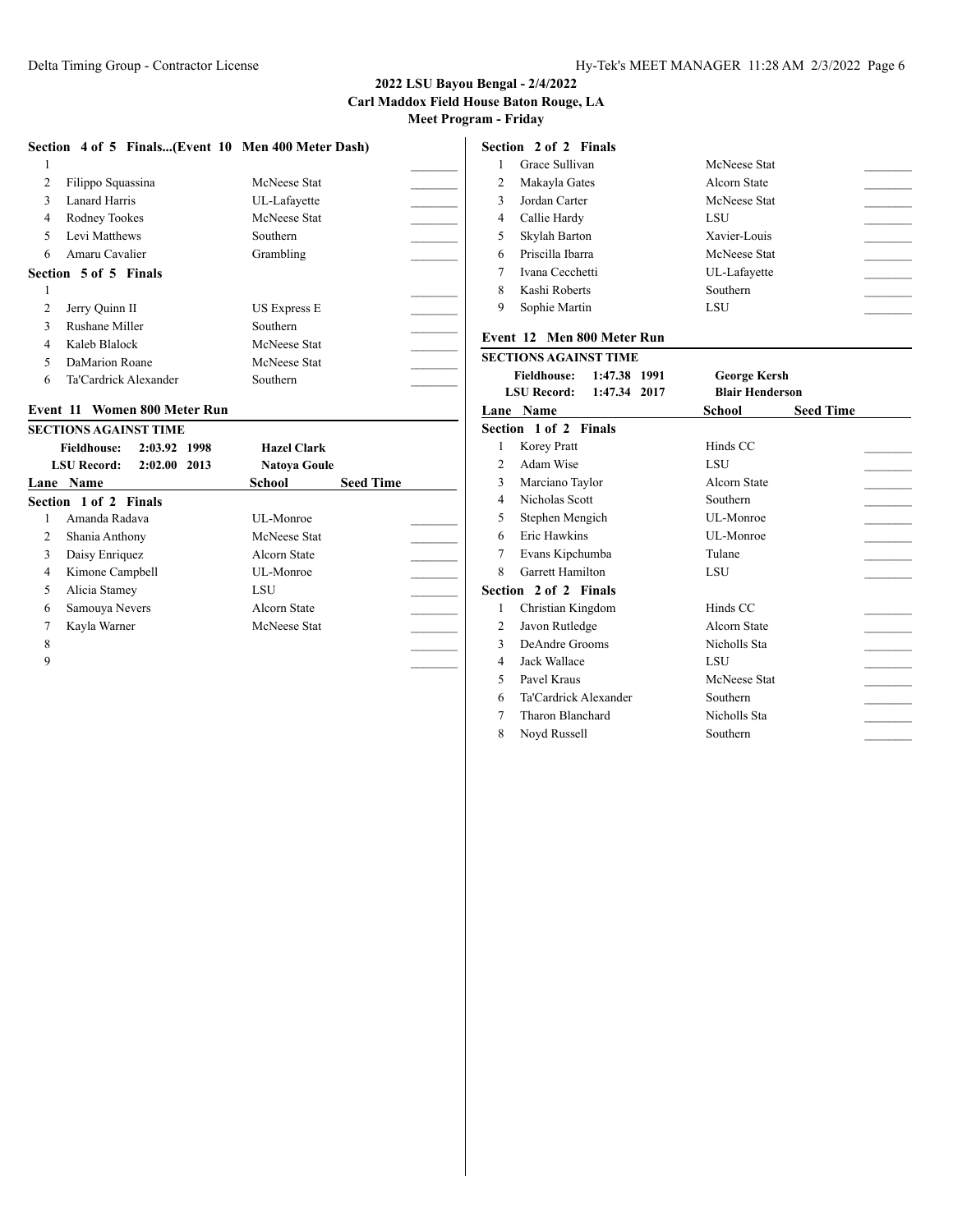|   | Section 4 of 5 Finals(Event 10 Men 400 Meter Dash) |                     |  |
|---|----------------------------------------------------|---------------------|--|
| 1 |                                                    |                     |  |
| 2 | Filippo Squassina                                  | McNeese Stat        |  |
| 3 | Lanard Harris                                      | UL-Lafayette        |  |
| 4 | Rodney Tookes                                      | McNeese Stat        |  |
| 5 | Levi Matthews                                      | Southern            |  |
| 6 | Amaru Cavalier                                     | Grambling           |  |
|   | Section 5 of 5 Finals                              |                     |  |
| 1 |                                                    |                     |  |
| 2 | Jerry Quinn II                                     | <b>US Express E</b> |  |
| 3 | Rushane Miller                                     | Southern            |  |
| 4 | Kaleb Blalock                                      | McNeese Stat        |  |
| 5 | DaMarion Roane                                     | McNeese Stat        |  |
| 6 | Ta'Cardrick Alexander                              | Southern            |  |

### **Event 11 Women 800 Meter Run**

|   | <b>SECTIONS AGAINST TIME</b>       |                     |                  |
|---|------------------------------------|---------------------|------------------|
|   | 2:03.92 1998<br><b>Fieldhouse:</b> | <b>Hazel Clark</b>  |                  |
|   | <b>LSU Record:</b><br>2:02.00 2013 | <b>Natoya Goule</b> |                  |
|   | Lane Name                          | School              | <b>Seed Time</b> |
|   | Section 1 of 2 Finals              |                     |                  |
| 1 | Amanda Radava                      | UL-Monroe           |                  |
| 2 | Shania Anthony                     | McNeese Stat        |                  |
| 3 | Daisy Enriquez                     | Alcorn State        |                  |
| 4 | Kimone Campbell                    | UL-Monroe           |                  |
| 5 | Alicia Stamey                      | LSU                 |                  |
| 6 | Samouya Nevers                     | Alcorn State        |                  |
| 7 | Kayla Warner                       | McNeese Stat        |                  |
| 8 |                                    |                     |                  |
| 9 |                                    |                     |                  |
|   |                                    |                     |                  |

#### **Section 2 of 2 Finals**

|   | Grace Sullivan   | McNeese Stat |  |
|---|------------------|--------------|--|
| 2 | Makayla Gates    | Alcorn State |  |
| 3 | Jordan Carter    | McNeese Stat |  |
| 4 | Callie Hardy     | LSU          |  |
| 5 | Skylah Barton    | Xavier-Louis |  |
| 6 | Priscilla Ibarra | McNeese Stat |  |
|   | Ivana Cecchetti  | UL-Lafayette |  |
| 8 | Kashi Roberts    | Southern     |  |
| 9 | Sophie Martin    | LSU          |  |
|   |                  |              |  |

#### **Event 12 Men 800 Meter Run**

|                | SECTIONS AGAINST TIME        |                            |
|----------------|------------------------------|----------------------------|
|                | Fieldhouse: 1:47.38 1991     | <b>George Kersh</b>        |
|                | LSU Record: 1:47.34 2017     | <b>Blair Henderson</b>     |
|                | <b>Lane Name</b>             | School<br><b>Seed Time</b> |
|                | <b>Section 1 of 2 Finals</b> |                            |
| 1              | Korey Pratt                  | Hinds CC                   |
| $\mathfrak{D}$ | Adam Wise                    | LSU                        |
| 3              | Marciano Taylor              | Alcorn State               |
| 4              | Nicholas Scott               | Southern                   |
| 5              | Stephen Mengich              | UL-Monroe                  |
| 6              | Eric Hawkins                 | UL-Monroe                  |
| 7              | Evans Kipchumba              | Tulane                     |
| 8              | <b>Garrett Hamilton</b>      | LSU                        |
|                | <b>Section 2 of 2 Finals</b> |                            |
| 1              | Christian Kingdom            | Hinds CC                   |
| 2              | Javon Rutledge               | Alcorn State               |
| 3              | DeAndre Grooms               | Nicholls Sta               |
| 4              | Jack Wallace                 | LSU                        |
| 5              | Pavel Kraus                  | McNeese Stat               |
| 6              | Ta'Cardrick Alexander        | Southern                   |
| 7              | Tharon Blanchard             | Nicholls Sta               |
| 8              | Noyd Russell                 | Southern                   |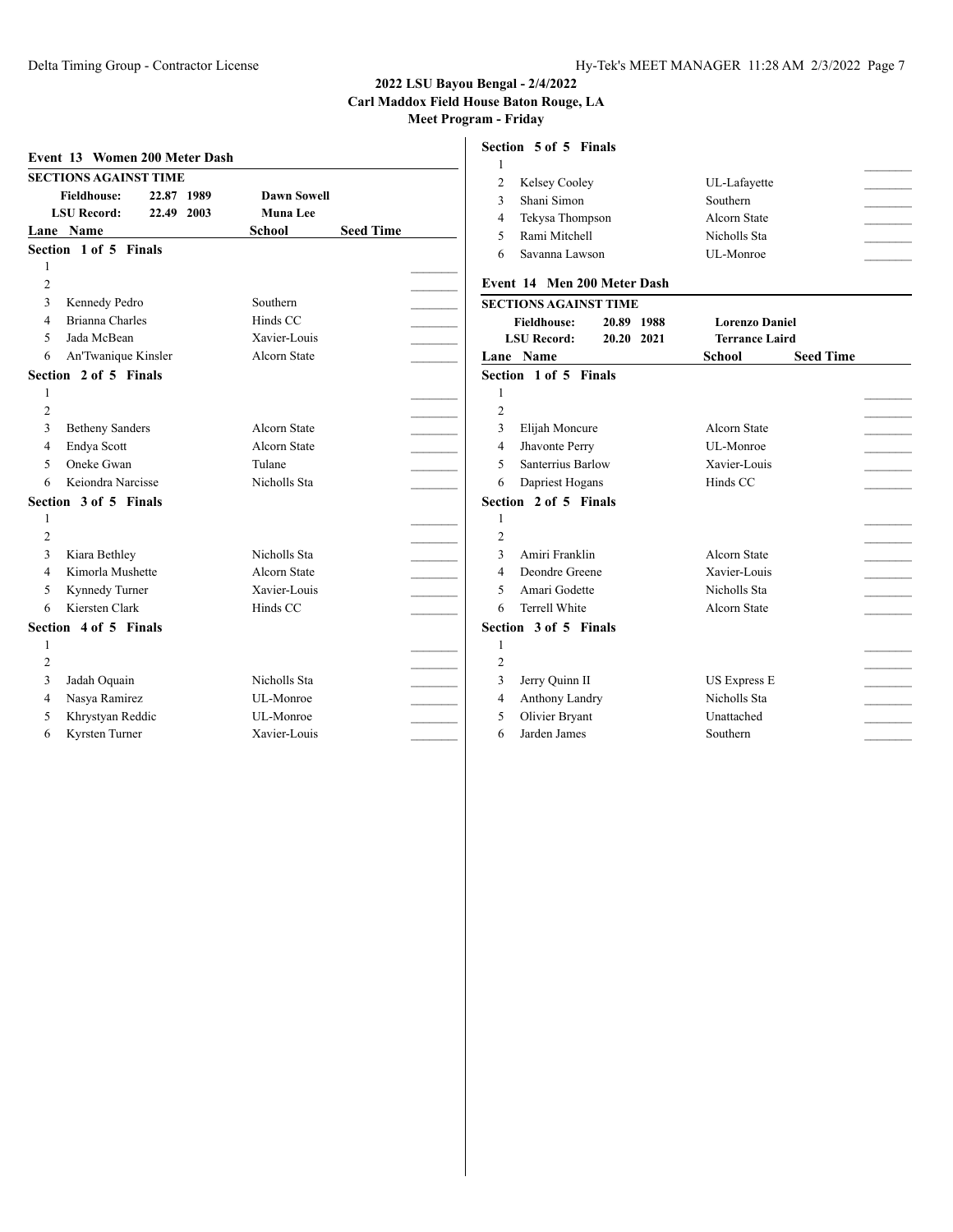#### **2022 LSU Bayou Bengal - 2/4/2022 Carl Maddox Field House Baton Rouge, LA Meet Program - Friday**

|                | Event 13 Women 200 Meter Dash                                                                                     |                                                        |                  |                                       | Section 5 of 5 Finals                           |                             |                                          |                            |
|----------------|-------------------------------------------------------------------------------------------------------------------|--------------------------------------------------------|------------------|---------------------------------------|-------------------------------------------------|-----------------------------|------------------------------------------|----------------------------|
|                | <b>SECTIONS AGAINST TIME</b><br>22.87 1989<br><b>Fieldhouse:</b><br><b>LSU Record:</b><br>22.49 2003<br>Lane Name | <b>Dawn Sowell</b><br><b>Muna</b> Lee<br><b>School</b> | <b>Seed Time</b> | $\overline{c}$<br>3<br>$\overline{4}$ | Kelsey Cooley<br>Shani Simon<br>Tekysa Thompson |                             | UL-Lafayette<br>Southern<br>Alcorn State |                            |
|                | Section 1 of 5 Finals                                                                                             |                                                        |                  | 5                                     | Rami Mitchell                                   |                             | Nicholls Sta                             |                            |
|                |                                                                                                                   |                                                        |                  | 6                                     | Savanna Lawson                                  |                             | UL-Monroe                                |                            |
| $\overline{c}$ |                                                                                                                   |                                                        |                  |                                       |                                                 | Event 14 Men 200 Meter Dash |                                          |                            |
| 3              | Kennedy Pedro                                                                                                     | Southern                                               |                  |                                       | <b>SECTIONS AGAINST TIME</b>                    |                             |                                          |                            |
| 4              | <b>Brianna Charles</b>                                                                                            | Hinds CC                                               |                  |                                       | <b>Fieldhouse:</b>                              | 20.89 1988                  | <b>Lorenzo Daniel</b>                    |                            |
| 5              | Jada McBean                                                                                                       | Xavier-Louis                                           |                  |                                       | <b>LSU Record:</b>                              | 20.20 2021                  | <b>Terrance Laird</b>                    |                            |
| 6              | An'Twanique Kinsler                                                                                               | Alcorn State                                           |                  |                                       | Lane Name                                       |                             | <b>School</b>                            | <b>Seed Time</b>           |
|                | Section 2 of 5 Finals                                                                                             |                                                        |                  |                                       | Section 1 of 5 Finals                           |                             |                                          |                            |
|                |                                                                                                                   |                                                        |                  | 1                                     |                                                 |                             |                                          |                            |
| $\overline{c}$ |                                                                                                                   |                                                        |                  | $\overline{2}$                        |                                                 |                             |                                          |                            |
| 3              | <b>Betheny Sanders</b>                                                                                            | Alcorn State                                           |                  | 3                                     | Elijah Moncure                                  |                             | Alcorn State                             |                            |
| 4              | Endya Scott                                                                                                       | Alcorn State                                           |                  | $\overline{4}$                        | Jhavonte Perry                                  |                             | UL-Monroe                                |                            |
| 5              | Oneke Gwan                                                                                                        | Tulane                                                 |                  | 5                                     | Santerrius Barlow                               |                             | Xavier-Louis                             |                            |
| 6              | Keiondra Narcisse                                                                                                 | Nicholls Sta                                           |                  | 6                                     | Dapriest Hogans                                 |                             | Hinds CC                                 |                            |
|                | Section 3 of 5 Finals                                                                                             |                                                        |                  |                                       | Section 2 of 5 Finals                           |                             |                                          |                            |
|                |                                                                                                                   |                                                        |                  | 1                                     |                                                 |                             |                                          |                            |
| $\overline{c}$ |                                                                                                                   |                                                        |                  | 2                                     |                                                 |                             |                                          | $\mathcal{L}_{\text{max}}$ |
| 3              | Kiara Bethley                                                                                                     | Nicholls Sta                                           |                  | 3                                     | Amiri Franklin                                  |                             | Alcorn State                             |                            |
| 4              | Kimorla Mushette                                                                                                  | Alcorn State                                           |                  | $\overline{4}$                        | Deondre Greene                                  |                             | Xavier-Louis                             |                            |
| 5              | Kynnedy Turner                                                                                                    | Xavier-Louis                                           |                  | 5                                     | Amari Godette                                   |                             | Nicholls Sta                             |                            |
| 6              | Kiersten Clark                                                                                                    | Hinds CC                                               |                  | 6                                     | Terrell White                                   |                             | Alcorn State                             |                            |
|                | Section 4 of 5 Finals                                                                                             |                                                        |                  |                                       | Section 3 of 5 Finals                           |                             |                                          |                            |
|                |                                                                                                                   |                                                        |                  | 1                                     |                                                 |                             |                                          |                            |
| $\overline{2}$ |                                                                                                                   |                                                        |                  | $\overline{2}$                        |                                                 |                             |                                          |                            |
| 3              | Jadah Oquain                                                                                                      | Nicholls Sta                                           |                  | 3                                     | Jerry Quinn II                                  |                             | <b>US Express E</b>                      | <b>Contract Contract</b>   |
| 4              | Nasya Ramirez                                                                                                     | UL-Monroe                                              |                  | $\overline{4}$                        | Anthony Landry                                  |                             | Nicholls Sta                             |                            |
| 5              | Khrystyan Reddic                                                                                                  | UL-Monroe                                              |                  | 5                                     | Olivier Bryant                                  |                             | Unattached                               |                            |
| 6              | Kyrsten Turner                                                                                                    | Xavier-Louis                                           |                  | 6                                     | Jarden James                                    |                             | Southern                                 |                            |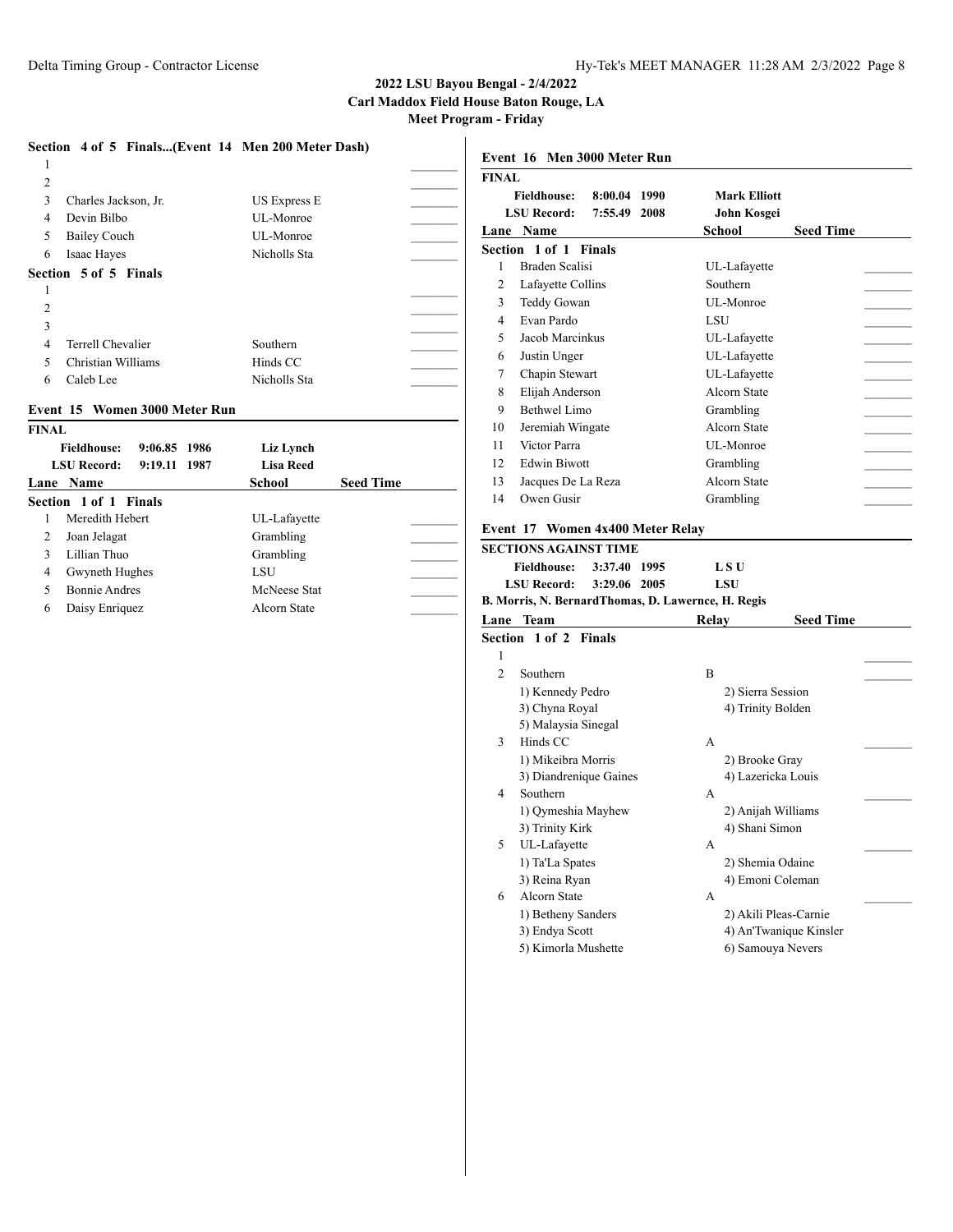# **2022 LSU Bayou Bengal - 2/4/2022**

**Carl Maddox Field House Baton Rouge, LA**

**Meet Program - Friday**

|                          | Section 4 of 5 Finals(Event 14 Men 200 Meter Dash) |              |  |
|--------------------------|----------------------------------------------------|--------------|--|
| 1                        |                                                    |              |  |
| 2                        |                                                    |              |  |
| 3                        | Charles Jackson, Jr.                               | US Express E |  |
| 4                        | Devin Bilbo                                        | UL-Monroe    |  |
| 5                        | <b>Bailey Couch</b>                                | UL-Monroe    |  |
| 6                        | Isaac Hayes                                        | Nicholls Sta |  |
|                          | Section 5 of 5 Finals                              |              |  |
|                          |                                                    |              |  |
| 2                        |                                                    |              |  |
| 3                        |                                                    |              |  |
| 4                        | Terrell Chevalier                                  | Southern     |  |
| $\overline{\phantom{1}}$ | Christian Williams                                 | Hinds CC     |  |
| 6                        | Caleb Lee                                          | Nicholls Sta |  |
|                          | Event 15 Women 3000 Meter Run                      |              |  |

### **FINAL Fieldhouse: 9:06.85 1986 Liz Lynch LSU Record: 9:19.11 1987 Lisa Reed Lane Name School Seed Time Section 1 of 1 Finals** 1 Meredith Hebert UL-Lafayette 2 Joan Jelagat Grambling 3 Lillian Thuo Grambling 4 Gwyneth Hughes LSU 5 Bonnie Andres McNeese Stat 6 Daisy Enriquez Alcorn State \_\_\_\_\_\_\_\_\_

| <b>FINAL</b>   |                                                                                                 |                                                 |
|----------------|-------------------------------------------------------------------------------------------------|-------------------------------------------------|
|                | <b>Fieldhouse:</b><br>8:00.04 1990                                                              | <b>Mark Elliott</b>                             |
|                | <b>LSU Record:</b><br>7:55.49<br>2008                                                           | John Kosgei                                     |
|                | Lane Name                                                                                       | School<br>Seed Time                             |
|                | Section 1 of 1 Finals                                                                           |                                                 |
| 1              | Braden Scalisi                                                                                  | UL-Lafayette                                    |
| 2              | Lafayette Collins                                                                               | Southern                                        |
| 3              | Teddy Gowan                                                                                     | UL-Monroe                                       |
| 4              | Evan Pardo                                                                                      | LSU                                             |
| 5              | Jacob Marcinkus                                                                                 | UL-Lafayette                                    |
| 6              | Justin Unger                                                                                    | UL-Lafayette                                    |
| 7              | Chapin Stewart                                                                                  | UL-Lafayette                                    |
| 8              | Elijah Anderson                                                                                 | <b>Alcorn State</b>                             |
| 9              | Bethwel Limo                                                                                    | Grambling                                       |
| 10             | Jeremiah Wingate                                                                                | Alcorn State                                    |
| 11             | Victor Parra                                                                                    | UL-Monroe                                       |
| 12             | <b>Edwin Biwott</b>                                                                             | Grambling                                       |
| 13             | Jacques De La Reza                                                                              | <b>Alcorn State</b>                             |
| 14             | Owen Gusir                                                                                      | Grambling                                       |
|                | Event 17 Women 4x400 Meter Relay<br><b>SECTIONS AGAINST TIME</b><br>3:37.40 1995<br>Fieldhouse: | L S U                                           |
|                | <b>LSU Record:</b><br>3:29.06 2005<br>B. Morris, N. BernardThomas, D. Lawernce, H. Regis        | <b>LSU</b>                                      |
|                | Lane Team                                                                                       | <b>Seed Time</b><br>Relay                       |
|                | Section 1 of 2 Finals                                                                           |                                                 |
| 1              |                                                                                                 |                                                 |
| $\overline{c}$ | Southern                                                                                        | B                                               |
|                | 1) Kennedy Pedro                                                                                | 2) Sierra Session                               |
|                | 3) Chyna Royal                                                                                  | 4) Trinity Bolden                               |
|                | 5) Malaysia Sinegal                                                                             |                                                 |
| 3              | Hinds CC                                                                                        | A                                               |
|                | 1) Mikeibra Morris                                                                              | 2) Brooke Gray                                  |
|                | 3) Diandrenique Gaines                                                                          | 4) Lazericka Louis                              |
| 4              | Southern                                                                                        | A                                               |
|                | 1) Qymeshia Mayhew                                                                              | 2) Anijah Williams                              |
|                | 3) Trinity Kirk                                                                                 | 4) Shani Simon                                  |
| 5              | UL-Lafayette                                                                                    | А                                               |
|                | 1) Ta'La Spates                                                                                 | 2) Shemia Odaine                                |
|                | 3) Reina Ryan                                                                                   | 4) Emoni Coleman                                |
| 6              | Alcorn State                                                                                    | А                                               |
|                | 1) Betheny Sanders<br>3) Endya Scott                                                            | 2) Akili Pleas-Carnie<br>4) An'Twanique Kinsler |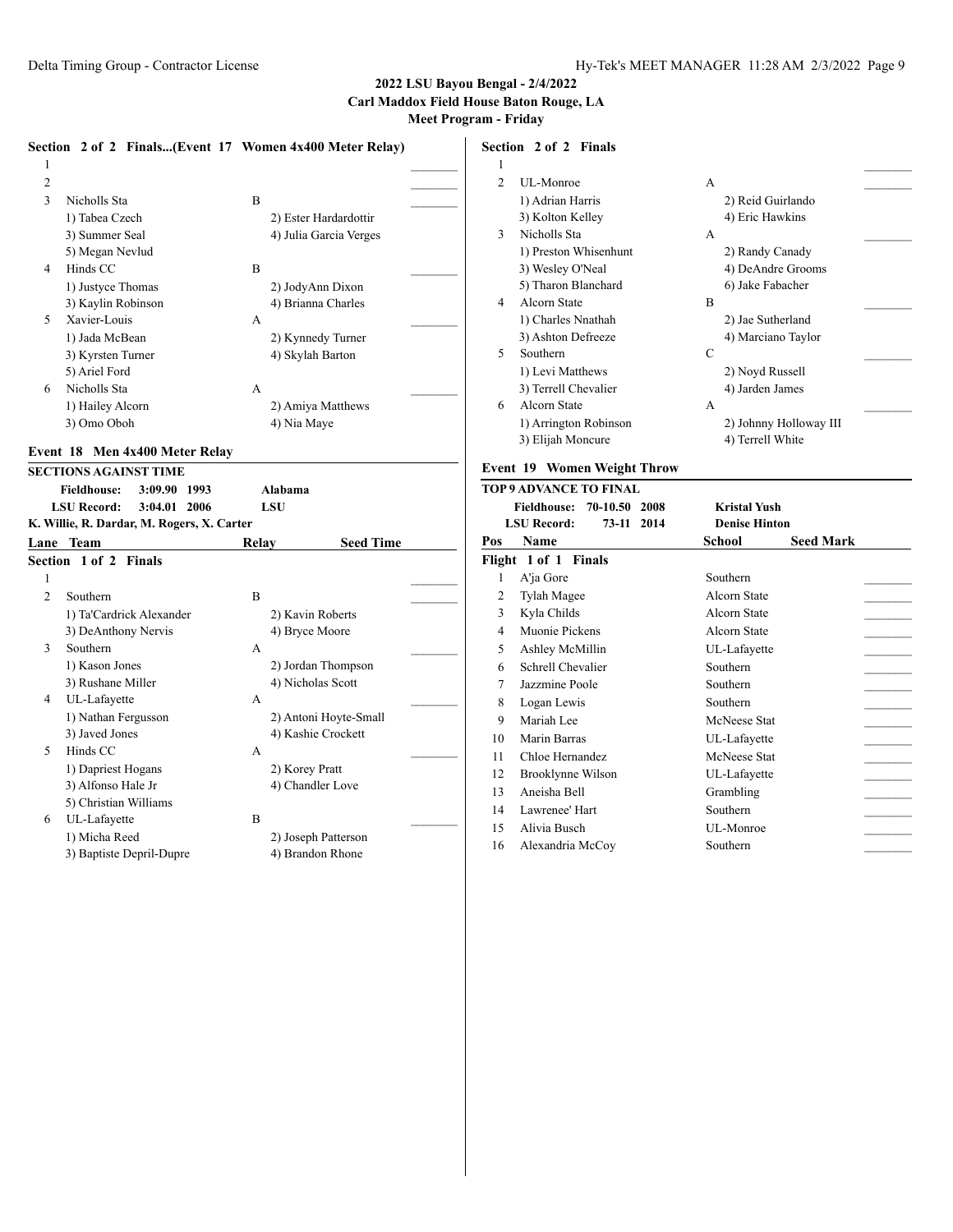|   | Section 2 of 2 Finals(Event 17 Women 4x400 Meter Relay) |                        |  |
|---|---------------------------------------------------------|------------------------|--|
| 1 |                                                         |                        |  |
| 2 |                                                         |                        |  |
| 3 | Nicholls Sta                                            | B                      |  |
|   | 1) Tabea Czech                                          | 2) Ester Hardardottir  |  |
|   | 3) Summer Seal                                          | 4) Julia Garcia Verges |  |
|   | 5) Megan Nevlud                                         |                        |  |
| 4 | Hinds CC                                                | B                      |  |
|   | 1) Justyce Thomas                                       | 2) JodyAnn Dixon       |  |
|   | 3) Kaylin Robinson                                      | 4) Brianna Charles     |  |
| 5 | Xavier-Louis                                            | А                      |  |
|   | 1) Jada McBean                                          | 2) Kynnedy Turner      |  |
|   | 3) Kyrsten Turner                                       | 4) Skylah Barton       |  |
|   | 5) Ariel Ford                                           |                        |  |
| 6 | Nicholls Sta                                            | A                      |  |
|   | 1) Hailey Alcorn                                        | 2) Amiya Matthews      |  |
|   | 3) Omo Oboh                                             | 4) Nia Maye            |  |
|   |                                                         |                        |  |

#### **Event 18 Men 4x400 Meter Relay**

|                | <b>SECTIONS AGAINST TIME</b>               |                |                       |
|----------------|--------------------------------------------|----------------|-----------------------|
|                | <b>Fieldhouse:</b><br>3:09.90<br>1993      | Alabama        |                       |
|                | <b>LSU Record:</b><br>3:04.01<br>2006      | <b>LSU</b>     |                       |
|                | K. Willie, R. Dardar, M. Rogers, X. Carter |                |                       |
| Lane           | <b>Team</b>                                | Relay          | <b>Seed Time</b>      |
|                | Section 1 of 2 Finals                      |                |                       |
| 1              |                                            |                |                       |
| $\mathfrak{D}$ | Southern                                   | B              |                       |
|                | 1) Ta'Cardrick Alexander                   |                | 2) Kavin Roberts      |
|                | 3) DeAnthony Nervis                        |                | 4) Bryce Moore        |
| $\mathcal{F}$  | Southern                                   | A              |                       |
|                | 1) Kason Jones                             |                | 2) Jordan Thompson    |
|                | 3) Rushane Miller                          |                | 4) Nicholas Scott     |
| 4              | UL-Lafayette                               | $\mathsf{A}$   |                       |
|                | 1) Nathan Fergusson                        |                | 2) Antoni Hoyte-Small |
|                | 3) Javed Jones                             |                | 4) Kashie Crockett    |
| $\sim$         | Hinds CC                                   | $\mathsf{A}$   |                       |
|                | 1) Dapriest Hogans                         | 2) Korey Pratt |                       |
|                | 3) Alfonso Hale Jr                         |                | 4) Chandler Love      |
|                | 5) Christian Williams                      |                |                       |
| 6              | UL-Lafayette                               | B              |                       |
|                | 1) Micha Reed                              |                | 2) Joseph Patterson   |
|                | 3) Baptiste Depril-Dupre                   |                | 4) Brandon Rhone      |
|                |                                            |                |                       |

## **Section 2 of 2 Finals**

| $\mathbf{1}$   |                       |   |                        |  |
|----------------|-----------------------|---|------------------------|--|
| $\mathfrak{D}$ | UL-Monroe             | А |                        |  |
|                | 1) Adrian Harris      |   | 2) Reid Guirlando      |  |
|                | 3) Kolton Kelley      |   | 4) Eric Hawkins        |  |
| 3              | Nicholls Sta          | A |                        |  |
|                | 1) Preston Whisenhunt |   | 2) Randy Canady        |  |
|                | 3) Wesley O'Neal      |   | 4) DeAndre Grooms      |  |
|                | 5) Tharon Blanchard   |   | 6) Jake Fabacher       |  |
| 4              | Alcorn State          | B |                        |  |
|                | 1) Charles Nnathah    |   | 2) Jae Sutherland      |  |
|                | 3) Ashton Defreeze    |   | 4) Marciano Taylor     |  |
| 5              | Southern              | C |                        |  |
|                | 1) Levi Matthews      |   | 2) Noyd Russell        |  |
|                | 3) Terrell Chevalier  |   | 4) Jarden James        |  |
| 6              | Alcorn State          | A |                        |  |
|                | 1) Arrington Robinson |   | 2) Johnny Holloway III |  |
|                | 3) Elijah Moncure     |   | 4) Terrell White       |  |
|                |                       |   |                        |  |

#### **Event 19 Women Weight Throw**

| TOP 9 ADVANCE TO FINAL |                                     |                            |  |  |  |
|------------------------|-------------------------------------|----------------------------|--|--|--|
|                        | Fieldhouse: 70-10.50 2008           | <b>Kristal Yush</b>        |  |  |  |
|                        | <b>LSU Record:</b><br>73-11<br>2014 | <b>Denise Hinton</b>       |  |  |  |
| Pos                    | Name                                | <b>Seed Mark</b><br>School |  |  |  |
|                        | Flight 1 of 1 Finals                |                            |  |  |  |
| 1                      | A'ja Gore                           | Southern                   |  |  |  |
| 2                      | Tylah Magee                         | Alcorn State               |  |  |  |
| 3                      | Kyla Childs                         | Alcorn State               |  |  |  |
| 4                      | Muonie Pickens                      | Alcorn State               |  |  |  |
| 5                      | Ashley McMillin                     | UL-Lafayette               |  |  |  |
| 6                      | Schrell Chevalier                   | Southern                   |  |  |  |
| 7                      | Jazzmine Poole                      | Southern                   |  |  |  |
| 8                      | Logan Lewis                         | Southern                   |  |  |  |
| 9                      | Mariah Lee                          | McNeese Stat               |  |  |  |
| 10                     | Marin Barras                        | UL-Lafayette               |  |  |  |
| 11                     | Chloe Hernandez                     | McNeese Stat               |  |  |  |
| 12                     | Brooklynne Wilson                   | UL-Lafayette               |  |  |  |
| 13                     | Aneisha Bell                        | Grambling                  |  |  |  |
| 14                     | Lawrenee' Hart                      | Southern                   |  |  |  |
| 15                     | Alivia Busch                        | UL-Monroe                  |  |  |  |
| 16                     | Alexandria McCoy                    | Southern                   |  |  |  |
|                        |                                     |                            |  |  |  |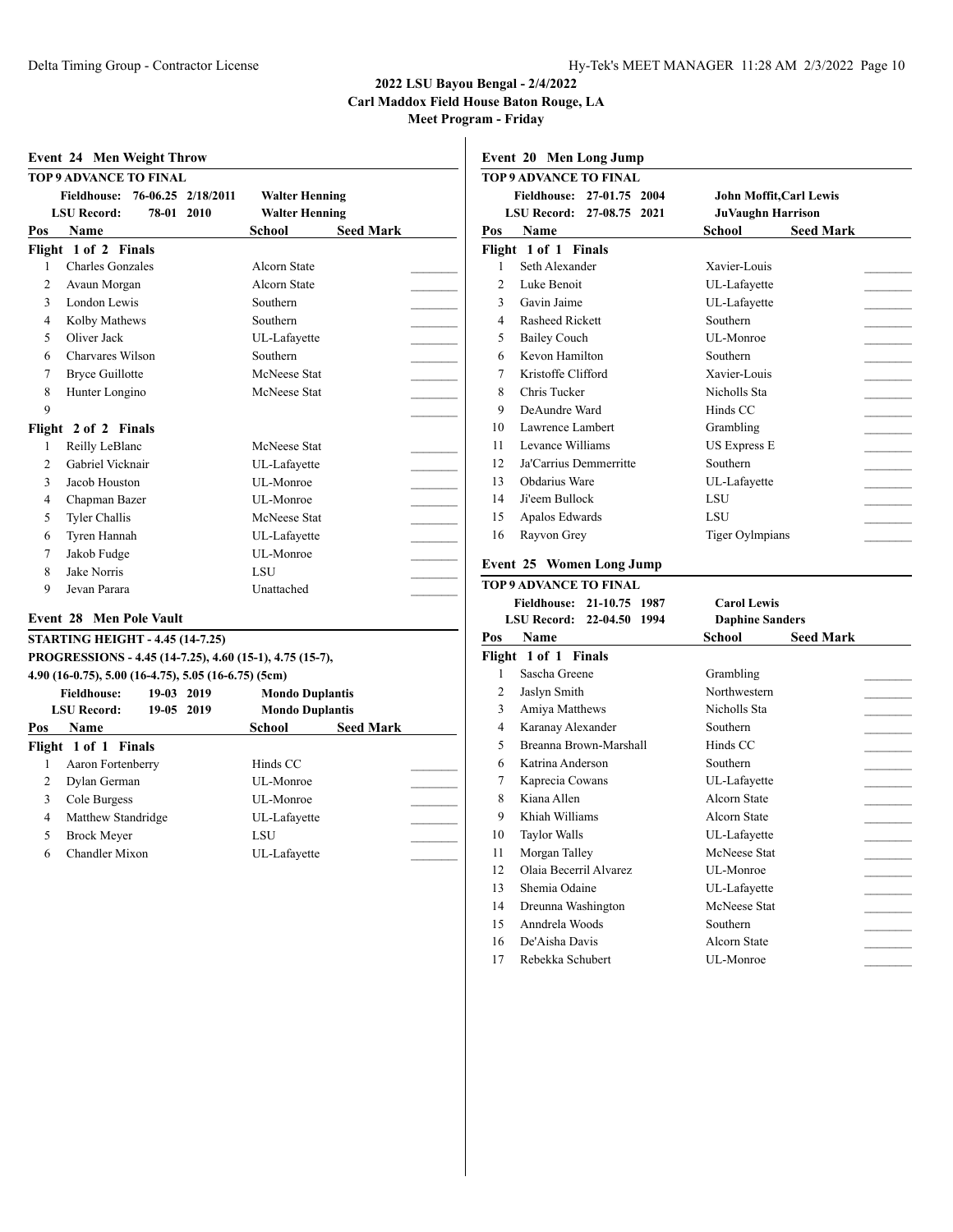## **2022 LSU Bayou Bengal - 2/4/2022 Carl Maddox Field House Baton Rouge, LA**

**Meet Program - Friday**

|                | <b>TOP 9 ADVANCE TO FINAL</b>                            |                            |
|----------------|----------------------------------------------------------|----------------------------|
|                | 76-06.25 2/18/2011<br>Fieldhouse:                        | <b>Walter Henning</b>      |
|                | <b>LSU Record:</b><br>78-01<br>2010                      | <b>Walter Henning</b>      |
| Pos            | <b>Name</b>                                              | School<br><b>Seed Mark</b> |
|                | Flight 1 of 2 Finals                                     |                            |
| 1              | <b>Charles Gonzales</b>                                  | <b>Alcorn State</b>        |
| $\overline{c}$ | Avaun Morgan                                             | Alcorn State               |
| 3              | London Lewis                                             | Southern                   |
| $\overline{4}$ | Kolby Mathews                                            | Southern                   |
| 5              | Oliver Jack                                              | UL-Lafayette               |
| 6              | Charvares Wilson                                         | Southern                   |
| 7              | <b>Bryce Guillotte</b>                                   | McNeese Stat               |
| 8              | Hunter Longino                                           | McNeese Stat               |
| 9              |                                                          |                            |
|                | Flight 2 of 2 Finals                                     |                            |
| 1              | Reilly LeBlanc                                           | McNeese Stat               |
| $\mathfrak{D}$ | Gabriel Vicknair                                         | UL-Lafayette               |
| 3              | Jacob Houston                                            | UL-Monroe                  |
| 4              | Chapman Bazer                                            | UL-Monroe                  |
| 5              | <b>Tyler Challis</b>                                     | McNeese Stat               |
| 6              | Tyren Hannah                                             | UL-Lafayette               |
| 7              | Jakob Fudge                                              | UL-Monroe                  |
| 8              | Jake Norris                                              | LSU                        |
| 9              | Jevan Parara                                             | Unattached                 |
|                |                                                          |                            |
|                | <b>Event 28 Men Pole Vault</b>                           |                            |
|                | <b>STARTING HEIGHT - 4.45 (14-7.25)</b>                  |                            |
|                | PROGRESSIONS - 4.45 (14-7.25), 4.60 (15-1), 4.75 (15-7), |                            |
|                | 4.90 (16-0.75), 5.00 (16-4.75), 5.05 (16-6.75) (5cm)     |                            |
|                | <b>Fieldhouse:</b><br>19-03 2019                         | <b>Mondo Duplantis</b>     |
|                | <b>LSU Record:</b><br>19-05 2019                         | <b>Mondo Duplantis</b>     |
| Pos            | Name                                                     | School<br><b>Seed Mark</b> |
|                | Flight 1 of 1 Finals                                     |                            |
| 1              | Aaron Fortenberry                                        | Hinds CC                   |
| $\overline{2}$ | Dylan German                                             | UL-Monroe                  |
| 3              | Cole Burgess                                             | UL-Monroe                  |
| $\overline{4}$ | Matthew Standridge                                       | UL-Lafayette               |
|                |                                                          |                            |
| 5<br>6         | <b>Brock Meyer</b><br>Chandler Mixon                     | LSU<br>UL-Lafavette        |

|                               | Event 20 Men Long Jump              |                                |  |  |  |  |
|-------------------------------|-------------------------------------|--------------------------------|--|--|--|--|
| <b>TOP 9 ADVANCE TO FINAL</b> |                                     |                                |  |  |  |  |
|                               | 27-01.75 2004<br><b>Fieldhouse:</b> | <b>John Moffit, Carl Lewis</b> |  |  |  |  |
|                               | LSU Record: 27-08.75 2021           | <b>JuVaughn Harrison</b>       |  |  |  |  |
| Pos                           | Name                                | <b>Seed Mark</b><br>School     |  |  |  |  |
|                               | Flight 1 of 1 Finals                |                                |  |  |  |  |
| 1                             | Seth Alexander                      | Xavier-Louis                   |  |  |  |  |
| 2                             | Luke Benoit                         | UL-Lafayette                   |  |  |  |  |
| 3                             | Gavin Jaime                         | UL-Lafayette                   |  |  |  |  |
| 4                             | Rasheed Rickett                     | Southern                       |  |  |  |  |
| 5                             | <b>Bailey Couch</b>                 | UL-Monroe                      |  |  |  |  |
| 6                             | Kevon Hamilton                      | Southern                       |  |  |  |  |
| 7                             | Kristoffe Clifford                  | Xavier-Louis                   |  |  |  |  |
| 8                             | Chris Tucker                        | Nicholls Sta                   |  |  |  |  |
| 9                             | DeAundre Ward                       | Hinds CC                       |  |  |  |  |
| 10                            | Lawrence Lambert                    | Grambling                      |  |  |  |  |
| 11                            | Levance Williams                    | <b>US Express E</b>            |  |  |  |  |
| 12.                           | Ja'Carrius Demmerritte              | Southern                       |  |  |  |  |
| 13                            | Obdarius Ware                       | UL-Lafayette                   |  |  |  |  |
| 14                            | Ji'eem Bullock                      | <b>LSU</b>                     |  |  |  |  |
| 15                            | Apalos Edwards                      | <b>LSU</b>                     |  |  |  |  |
| 16                            | Rayvon Grey                         | <b>Tiger Oylmpians</b>         |  |  |  |  |
|                               | <b>Event 25 Women Long Jump</b>     |                                |  |  |  |  |

|     | TOP 9 ADVANCE TO FINAL    |                        |                  |
|-----|---------------------------|------------------------|------------------|
|     | Fieldhouse: 21-10.75 1987 | <b>Carol Lewis</b>     |                  |
|     | LSU Record: 22-04.50 1994 | <b>Daphine Sanders</b> |                  |
| Pos | Name                      | School                 | <b>Seed Mark</b> |
|     | Flight 1 of 1 Finals      |                        |                  |
| 1   | Sascha Greene             | Grambling              |                  |
| 2   | Jaslyn Smith              | Northwestern           |                  |
| 3   | Amiya Matthews            | Nicholls Sta           |                  |
| 4   | Karanay Alexander         | Southern               |                  |
| 5   | Breanna Brown-Marshall    | Hinds CC               |                  |
| 6   | Katrina Anderson          | Southern               |                  |
| 7   | Kaprecia Cowans           | UL-Lafayette           |                  |
| 8   | Kiana Allen               | Alcorn State           |                  |
| 9   | Khiah Williams            | Alcorn State           |                  |
| 10  | <b>Taylor Walls</b>       | UL-Lafayette           |                  |
| 11  | Morgan Talley             | McNeese Stat           |                  |
| 12  | Olaia Becerril Alvarez    | UL-Monroe              |                  |
| 13  | Shemia Odaine             | UL-Lafayette           |                  |
| 14  | Dreunna Washington        | McNeese Stat           |                  |
| 15  | Anndrela Woods            | Southern               |                  |
| 16  | De'Aisha Davis            | Alcorn State           |                  |
| 17  | Rebekka Schubert          | UL-Monroe              |                  |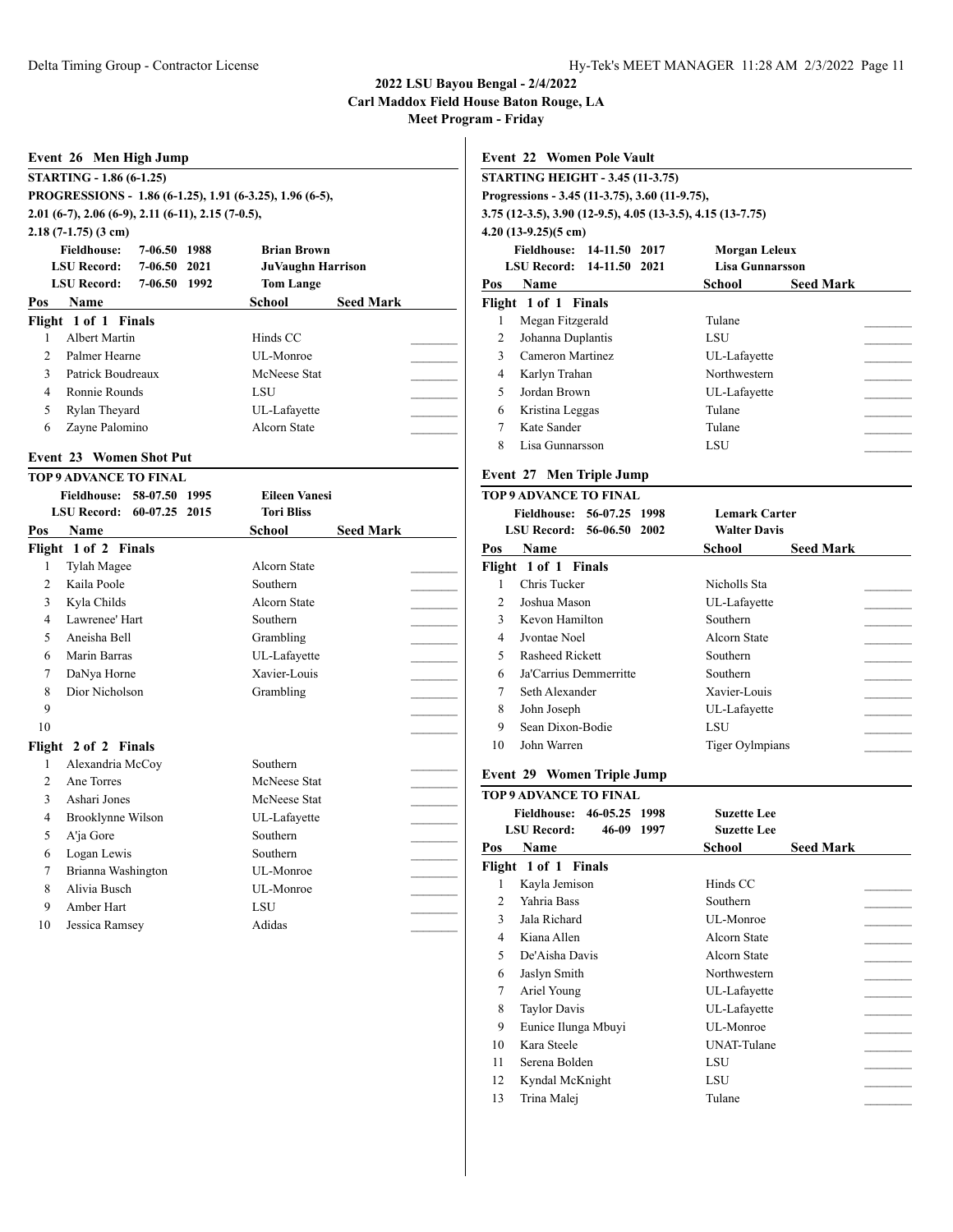# **2022 LSU Bayou Bengal - 2/4/2022 Carl Maddox Field House Baton Rouge, LA**

**Meet Program - Friday**

|                          | <b>STARTING HEIGHT - 3.45 (11-3.75)</b>                     |                        |                  |
|--------------------------|-------------------------------------------------------------|------------------------|------------------|
|                          | Progressions - 3.45 (11-3.75), 3.60 (11-9.75),              |                        |                  |
|                          | 3.75 (12-3.5), 3.90 (12-9.5), 4.05 (13-3.5), 4.15 (13-7.75) |                        |                  |
|                          | $4.20(13-9.25)(5 \text{ cm})$                               |                        |                  |
|                          | Fieldhouse: 14-11.50 2017                                   | <b>Morgan Leleux</b>   |                  |
|                          | LSU Record: 14-11.50 2021                                   | <b>Lisa Gunnarsson</b> |                  |
| Pos                      | <b>Name</b>                                                 | School                 | <b>Seed Mark</b> |
|                          | Flight 1 of 1 Finals                                        |                        |                  |
| 1                        | Megan Fitzgerald                                            | Tulane                 |                  |
| 2                        | Johanna Duplantis                                           | LSU                    |                  |
| $\mathcal{F}$            | Cameron Martinez                                            | UL-Lafayette           |                  |
| 4                        | Karlyn Trahan                                               | Northwestern           |                  |
| $\overline{\phantom{0}}$ | Jordan Brown                                                | UL-Lafayette           |                  |
| 6                        | Kristina Leggas                                             | Tulane                 |                  |
| 7                        | Kate Sander                                                 | Tulane                 |                  |
| 8                        | Lisa Gunnarsson                                             | LSU                    |                  |

## **Event 27 Men Triple Jump**

|                                                        | TOP 9 ADVANCE TO FINAL |                            |  |
|--------------------------------------------------------|------------------------|----------------------------|--|
| Fieldhouse: 56-07.25 1998<br>LSU Record: 56-06.50 2002 |                        | <b>Lemark Carter</b>       |  |
|                                                        |                        | <b>Walter Davis</b>        |  |
| Pos                                                    | Name                   | <b>Seed Mark</b><br>School |  |
|                                                        | Flight 1 of 1 Finals   |                            |  |
|                                                        | Chris Tucker           | Nicholls Sta               |  |
| $\mathfrak{D}$                                         | Joshua Mason           | UL-Lafayette               |  |
| $\mathbf{3}$                                           | Kevon Hamilton         | Southern                   |  |
| 4                                                      | Jyontae Noel           | Alcorn State               |  |
| 5                                                      | Rasheed Rickett        | Southern                   |  |
| 6                                                      | Ja'Carrius Demmerritte | Southern                   |  |
| 7                                                      | Seth Alexander         | Xavier-Louis               |  |
| 8                                                      | John Joseph            | UL-Lafayette               |  |
| 9                                                      | Sean Dixon-Bodie       | LSU                        |  |
| 10                                                     | John Warren            | <b>Tiger Oylmpians</b>     |  |
|                                                        |                        |                            |  |

## **Event 29 Women Triple Jump**

|                | <b>TOP 9 ADVANCE TO FINAL</b>                                                 |                            |
|----------------|-------------------------------------------------------------------------------|----------------------------|
|                | 46-05.25<br><b>Fieldhouse:</b><br>1998<br><b>LSU Record:</b><br>46-09<br>1997 | Suzette Lee<br>Suzette Lee |
| Pos            | Name                                                                          | <b>Seed Mark</b><br>School |
|                | Flight 1 of 1 Finals                                                          |                            |
| 1              | Kayla Jemison                                                                 | Hinds CC                   |
| $\mathfrak{D}$ | Yahria Bass                                                                   | Southern                   |
| 3              | Jala Richard                                                                  | UL-Monroe                  |
| 4              | Kiana Allen                                                                   | Alcorn State               |
| 5              | De'Aisha Davis                                                                | Alcorn State               |
| 6              | Jaslyn Smith                                                                  | Northwestern               |
| 7              | Ariel Young                                                                   | UL-Lafayette               |
| 8              | <b>Taylor Davis</b>                                                           | UL-Lafayette               |
| 9              | Eunice Ilunga Mbuyi                                                           | UL-Monroe                  |
| 10             | Kara Steele                                                                   | <b>UNAT-Tulane</b>         |
| 11             | Serena Bolden                                                                 | LSU                        |
| 12             | Kyndal McKnight                                                               | LSU                        |
| 13             | Trina Malej                                                                   | Tulane                     |
|                |                                                                               |                            |

| Event 26 Men High Jump                                     |                              |              |      |                    |                  |  |
|------------------------------------------------------------|------------------------------|--------------|------|--------------------|------------------|--|
| STARTING - 1.86 (6-1.25)                                   |                              |              |      |                    |                  |  |
| PROGRESSIONS - 1.86 (6-1.25), 1.91 (6-3.25), 1.96 (6-5),   |                              |              |      |                    |                  |  |
| $2.01$ (6-7), $2.06$ (6-9), $2.11$ (6-11), $2.15$ (7-0.5), |                              |              |      |                    |                  |  |
|                                                            | $2.18(7-1.75)(3 \text{ cm})$ |              |      |                    |                  |  |
|                                                            | <b>Fieldhouse:</b>           | 7-06.50      | 1988 | <b>Brian Brown</b> |                  |  |
|                                                            | <b>LSU Record:</b>           | 7-06.50 2021 |      | JuVaughn Harrison  |                  |  |
|                                                            | LSU Record: 7-06.50 1992     |              |      | <b>Tom Lange</b>   |                  |  |
| Pos                                                        | <b>Name</b>                  |              |      | School             | <b>Seed Mark</b> |  |
|                                                            | Flight 1 of 1 Finals         |              |      |                    |                  |  |
|                                                            | Albert Martin                |              |      | Hinds CC           |                  |  |
| $\mathfrak{D}$                                             | Palmer Hearne                |              |      | UL-Monroe          |                  |  |
| 3                                                          | Patrick Boudreaux            |              |      | McNeese Stat       |                  |  |
| 4                                                          | Ronnie Rounds                |              |      | <b>LSU</b>         |                  |  |
| 5                                                          | Rylan Theyard                |              |      | UL-Lafayette       |                  |  |
| 6                                                          | Zayne Palomino               |              |      | Alcorn State       |                  |  |
|                                                            |                              |              |      |                    |                  |  |

#### **Event 23 Women Shot Put**

| <b>TOP 9 ADVANCE TO FINAL</b>                     |                      |               |                  |  |  |  |
|---------------------------------------------------|----------------------|---------------|------------------|--|--|--|
| Fieldhouse: 58-07.50 1995<br><b>Eileen Vanesi</b> |                      |               |                  |  |  |  |
| LSU Record: 60-07.25 2015<br><b>Tori Bliss</b>    |                      |               |                  |  |  |  |
| Pos                                               | Name                 | <b>School</b> | <b>Seed Mark</b> |  |  |  |
|                                                   | Flight 1 of 2 Finals |               |                  |  |  |  |
| 1                                                 | Tylah Magee          | Alcorn State  |                  |  |  |  |
| $\mathfrak{D}$                                    | Kaila Poole          | Southern      |                  |  |  |  |
| 3                                                 | Kyla Childs          | Alcorn State  |                  |  |  |  |
| $\overline{4}$                                    | Lawrenee' Hart       | Southern      |                  |  |  |  |
| $\sim$                                            | Aneisha Bell         | Grambling     |                  |  |  |  |
| 6                                                 | Marin Barras         | UL-Lafayette  |                  |  |  |  |
| 7                                                 | DaNya Horne          | Xavier-Louis  |                  |  |  |  |
| 8                                                 | Dior Nicholson       | Grambling     |                  |  |  |  |
| 9                                                 |                      |               |                  |  |  |  |
| 10                                                |                      |               |                  |  |  |  |
|                                                   | Flight 2 of 2 Finals |               |                  |  |  |  |
| 1                                                 | Alexandria McCoy     | Southern      |                  |  |  |  |
| $\mathfrak{D}$                                    | Ane Torres           | McNeese Stat  |                  |  |  |  |
| 3                                                 | Ashari Jones         | McNeese Stat  |                  |  |  |  |
| 4                                                 | Brooklynne Wilson    | UL-Lafayette  |                  |  |  |  |
| 5                                                 | A'ja Gore            | Southern      |                  |  |  |  |
| 6                                                 | Logan Lewis          | Southern      |                  |  |  |  |
| 7                                                 | Brianna Washington   | UL-Monroe     |                  |  |  |  |
| 8                                                 | Alivia Busch         | UL-Monroe     |                  |  |  |  |
| 9                                                 | Amber Hart           | <b>LSU</b>    |                  |  |  |  |
| 10                                                | Jessica Ramsey       | Adidas        |                  |  |  |  |